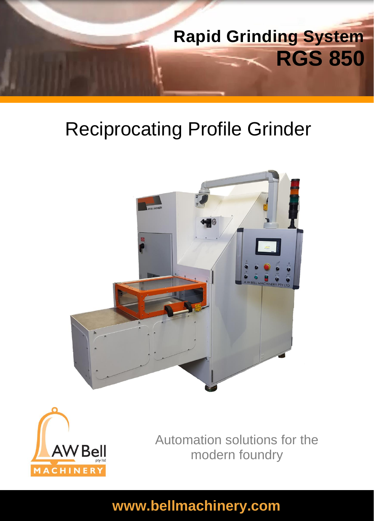

# Reciprocating Profile Grinder





Automation solutions for the modern foundry

# **www.bellmachinery.com**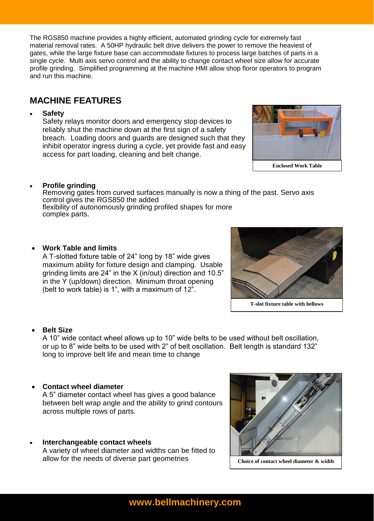The RGS850 machine provides a highly efficient, automated grinding cycle for extremely fast material removal rates. A 50HP hydraulic belt drive delivers the power to remove the heaviest of gates, while the large fixture base can accommodate fixtures to process large batches of parts in a single cycle. Multi axis servo control and the ability to change contact wheel size allow for accurate profile grinding. Simplified programming at the machine HMI allow shop floror operators to program and run this machine.

### **MACHINE FEATURES**

#### **Safety**

Safety relays monitor doors and emergency stop devices to reliably shut the machine down at the first sign of a safety breach. Loading doors and guards are designed such that they inhibit operator ingress during a cycle, yet provide fast and easy access for part loading, cleaning and belt change.



#### **Profile grinding**

Removing gates from curved surfaces manually is now a thing of the past. Servo axis control gives the RGS850 the added flexibility of autonomously grinding profiled shapes for more complex parts.

#### **Work Table and limits**

A T-slotted fixture table of 24" long by 18" wide gives maximum ability for fixture design and clamping. Usable grinding limits are 24" in the X (in/out) direction and 10.5" in the Y (up/down) direction. Minimum throat opening (belt to work table) is 1", with a maximum of 12".



#### **Belt Size**

A 10" wide contact wheel allows up to 10" wide belts to be used without belt oscillation, or up to 8" wide belts to be used with 2" of belt oscillation. Belt length is standard 132" long to improve belt life and mean time to change

#### **Contact wheel diameter**

A 5" diameter contact wheel has gives a good balance between belt wrap angle and the ability to grind contours across multiple rows of parts.

 **Interchangeable contact wheels** A variety of wheel diameter and widths can be fitted to allow for the needs of diverse part geometries

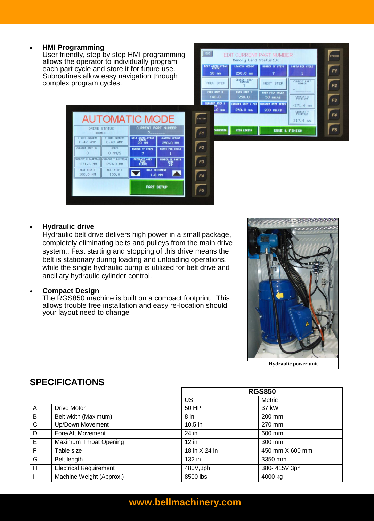#### **HMI Programming**

User friendly, step by step HMI programming allows the operator to individually program each part cycle and store it for future use. Subroutines allow easy navigation through complex program cycles.





#### **Hydraulic drive**

Hydraulic belt drive delivers high power in a small package, completely eliminating belts and pulleys from the main drive system.. Fast starting and stopping of this drive means the belt is stationary during loading and unloading operations, while the single hydraulic pump is utilized for belt drive and ancillary hydraulic cylinder control.

#### **Compact Design**

The RGS850 machine is built on a compact footprint. This allows trouble free installation and easy re-location should your layout need to change



**Hydraulic power unit**

|                |                               | <b>RGS850</b>   |                 |
|----------------|-------------------------------|-----------------|-----------------|
|                |                               | US              | Metric          |
| $\overline{A}$ | <b>Drive Motor</b>            | 50 HP           | 37 kW           |
| B              | Belt width (Maximum)          | 8 <sub>in</sub> | 200 mm          |
| $\mathsf{C}$   | Up/Down Movement              | $10.5$ in       | 270 mm          |
| D              | Fore/Aft Movement             | 24 in           | 600 mm          |
| E              | Maximum Throat Opening        | $12$ in         | 300 mm          |
| F              | Table size                    | 18 in X 24 in   | 450 mm X 600 mm |
| G              | Belt length                   | 132 in          | 3350 mm         |
| H              | <b>Electrical Requirement</b> | 480V,3ph        | 380-415V,3ph    |
|                | Machine Weight (Approx.)      | 8500 lbs        | 4000 kg         |

F<sub>3</sub>

F4

F<sub>5</sub>

#### **SPECIFICATIONS**

# **www.bellmachinery.com**